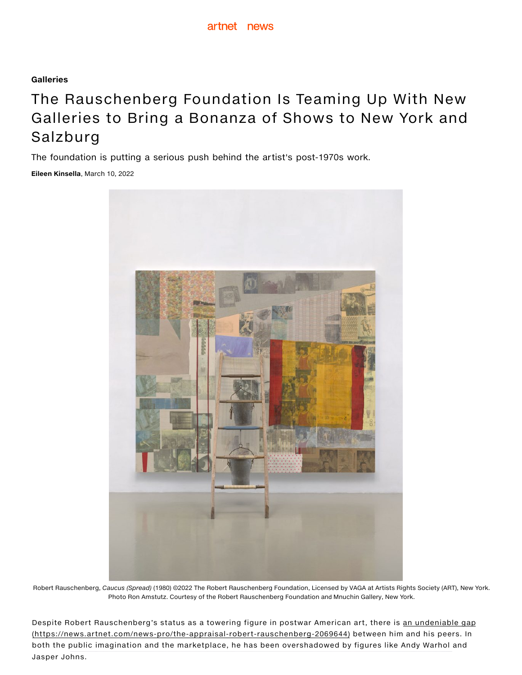## [Galleries](https://news.artnet.com/market/galleries)

## The Rauschenberg Foundation Is Teaming Up With New Galleries to Bring a Bonanza of Shows to New York and Salzburg

The foundation is putting a serious push behind the artist's post-1970s work.

[Eileen Kinsella](https://news.artnet.com/about/eileen-kinsella-22), March 10, 2022



Robert Rauschenberg, Caucus (Spread) (1980) ©2022 The Robert Rauschenberg Foundation, Licensed by VAGA at Artists Rights Society (ART), New York. Photo Ron Amstutz. Courtesy of the Robert Rauschenberg Foundation and Mnuchin Gallery, New York.

Despite Robert Rauschenberg's status as a towering figure in postwar American art, there is an undeniable gap (https://news.artnet.com/news-pro/the-appraisal-robert-rauschenberg-2069644) between him and his peers. In both the public imagination and the marketplace, he has been overshadowed by figures like Andy Warhol and Jasper Johns.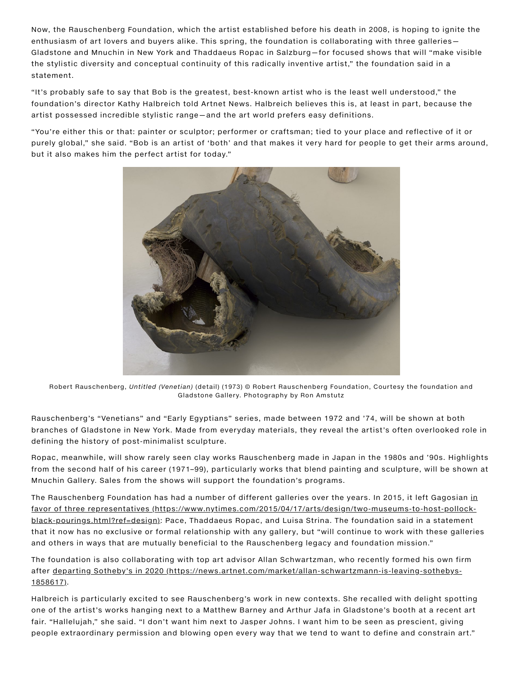Now, the Rauschenberg Foundation, which the artist established before his death in 2008, is hoping to ignite the enthusiasm of art lovers and buyers alike. This spring, the foundation is collaborating with three galleries— Gladstone and Mnuchin in New York and Thaddaeus Ropac in Salzburg—for focused shows that will "make visible the stylistic diversity and conceptual continuity of this radically inventive artist," the foundation said in a statement.

"It's probably safe to say that Bob is the greatest, best-known artist who is the least well understood," the foundation's director Kathy Halbreich told Artnet News. Halbreich believes this is, at least in part, because the artist possessed incredible stylistic range—and the art world prefers easy definitions.

"You're either this or that: painter or sculptor; performer or craftsman; tied to your place and reflective of it or purely global," she said. "Bob is an artist of 'both' and that makes it very hard for people to get their arms around, but it also makes him the perfect artist for today."



Robert Rauschenberg, Untitled (Venetian) (detail) (1973) © Robert Rauschenberg Foundation, Courtesy the foundation and Gladstone Gallery. Photography by Ron Amstutz

Rauschenberg's "Venetians" and "Early Egyptians" series, made between 1972 and '74, will be shown at both branches of Gladstone in New York. Made from everyday materials, they reveal the artist's often overlooked role in defining the history of post-minimalist sculpture.

Ropac, meanwhile, will show rarely seen clay works Rauschenberg made in Japan in the 1980s and '90s. Highlights from the second half of his career (1971–99), particularly works that blend painting and sculpture, will be shown at Mnuchin Gallery. Sales from the shows will support the foundation's programs.

The Rauschenberg Foundation has had a number of different galleries over the years. In 2015, it left Gagosian in favor of three representatives [\(https://www.nytimes.com/2015/04/17/arts/design/two-museums-to-host-pollock](https://www.nytimes.com/2015/04/17/arts/design/two-museums-to-host-pollock-black-pourings.html?ref=design)black-pourings.html?ref=design): Pace, Thaddaeus Ropac, and Luisa Strina. The foundation said in a statement that it now has no exclusive or formal relationship with any gallery, but "will continue to work with these galleries and others in ways that are mutually beneficial to the Rauschenberg legacy and foundation mission."

The foundation is also collaborating with top art advisor Allan Schwartzman, who recently formed his own firm after departing Sotheby's in 2020 [\(https://news.artnet.com/market/allan-schwartzmann-is-leaving-sothebys-](https://news.artnet.com/market/allan-schwartzmann-is-leaving-sothebys-1858617)1858617).

Halbreich is particularly excited to see Rauschenberg's work in new contexts. She recalled with delight spotting one of the artist's works hanging next to a Matthew Barney and Arthur Jafa in Gladstone's booth at a recent art fair. "Hallelujah," she said. "I don't want him next to Jasper Johns. I want him to be seen as prescient, giving people extraordinary permission and blowing open every way that we tend to want to define and constrain art."